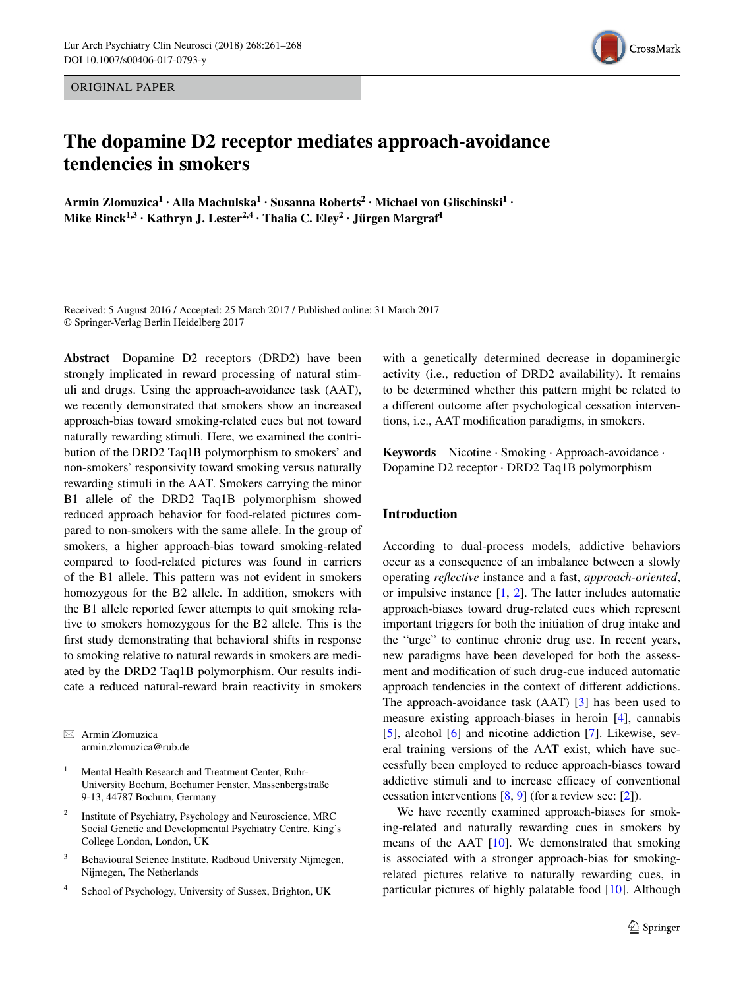ORIGINAL PAPER

# CrossMark

# **The dopamine D2 receptor mediates approach-avoidance tendencies in smokers**

**Armin Zlomuzica1 · Alla Machulska1 · Susanna Roberts<sup>2</sup> · Michael von Glischinski1 · Mike Rinck1,3 · Kathryn J. Lester2,4 · Thalia C. Eley2 · Jürgen Margraf1**

Received: 5 August 2016 / Accepted: 25 March 2017 / Published online: 31 March 2017 © Springer-Verlag Berlin Heidelberg 2017

**Abstract** Dopamine D2 receptors (DRD2) have been strongly implicated in reward processing of natural stimuli and drugs. Using the approach-avoidance task (AAT), we recently demonstrated that smokers show an increased approach-bias toward smoking-related cues but not toward naturally rewarding stimuli. Here, we examined the contribution of the DRD2 Taq1B polymorphism to smokers' and non-smokers' responsivity toward smoking versus naturally rewarding stimuli in the AAT. Smokers carrying the minor B1 allele of the DRD2 Taq1B polymorphism showed reduced approach behavior for food-related pictures compared to non-smokers with the same allele. In the group of smokers, a higher approach-bias toward smoking-related compared to food-related pictures was found in carriers of the B1 allele. This pattern was not evident in smokers homozygous for the B2 allele. In addition, smokers with the B1 allele reported fewer attempts to quit smoking relative to smokers homozygous for the B2 allele. This is the first study demonstrating that behavioral shifts in response to smoking relative to natural rewards in smokers are mediated by the DRD2 Taq1B polymorphism. Our results indicate a reduced natural-reward brain reactivity in smokers

 $\boxtimes$  Armin Zlomuzica armin.zlomuzica@rub.de

- Mental Health Research and Treatment Center, Ruhr-University Bochum, Bochumer Fenster, Massenbergstraße 9-13, 44787 Bochum, Germany
- Institute of Psychiatry, Psychology and Neuroscience, MRC Social Genetic and Developmental Psychiatry Centre, King's College London, London, UK
- <sup>3</sup> Behavioural Science Institute, Radboud University Nijmegen, Nijmegen, The Netherlands
- School of Psychology, University of Sussex, Brighton, UK

with a genetically determined decrease in dopaminergic activity (i.e., reduction of DRD2 availability). It remains to be determined whether this pattern might be related to a different outcome after psychological cessation interventions, i.e., AAT modification paradigms, in smokers.

**Keywords** Nicotine · Smoking · Approach-avoidance · Dopamine D2 receptor · DRD2 Taq1B polymorphism

# **Introduction**

According to dual-process models, addictive behaviors occur as a consequence of an imbalance between a slowly operating *reflective* instance and a fast, *approach-oriented*, or impulsive instance  $[1, 2]$  $[1, 2]$  $[1, 2]$ . The latter includes automatic approach-biases toward drug-related cues which represent important triggers for both the initiation of drug intake and the "urge" to continue chronic drug use. In recent years, new paradigms have been developed for both the assessment and modification of such drug-cue induced automatic approach tendencies in the context of different addictions. The approach-avoidance task (AAT) [[3\]](#page-6-2) has been used to measure existing approach-biases in heroin [[4\]](#page-6-3), cannabis [\[5](#page-6-4)], alcohol [[6\]](#page-6-5) and nicotine addiction [[7\]](#page-6-6). Likewise, several training versions of the AAT exist, which have successfully been employed to reduce approach-biases toward addictive stimuli and to increase efficacy of conventional cessation interventions [\[8](#page-6-7), [9](#page-6-8)] (for a review see: [[2\]](#page-6-1)).

We have recently examined approach-biases for smoking-related and naturally rewarding cues in smokers by means of the AAT [[10\]](#page-6-9). We demonstrated that smoking is associated with a stronger approach-bias for smokingrelated pictures relative to naturally rewarding cues, in particular pictures of highly palatable food [\[10](#page-6-9)]. Although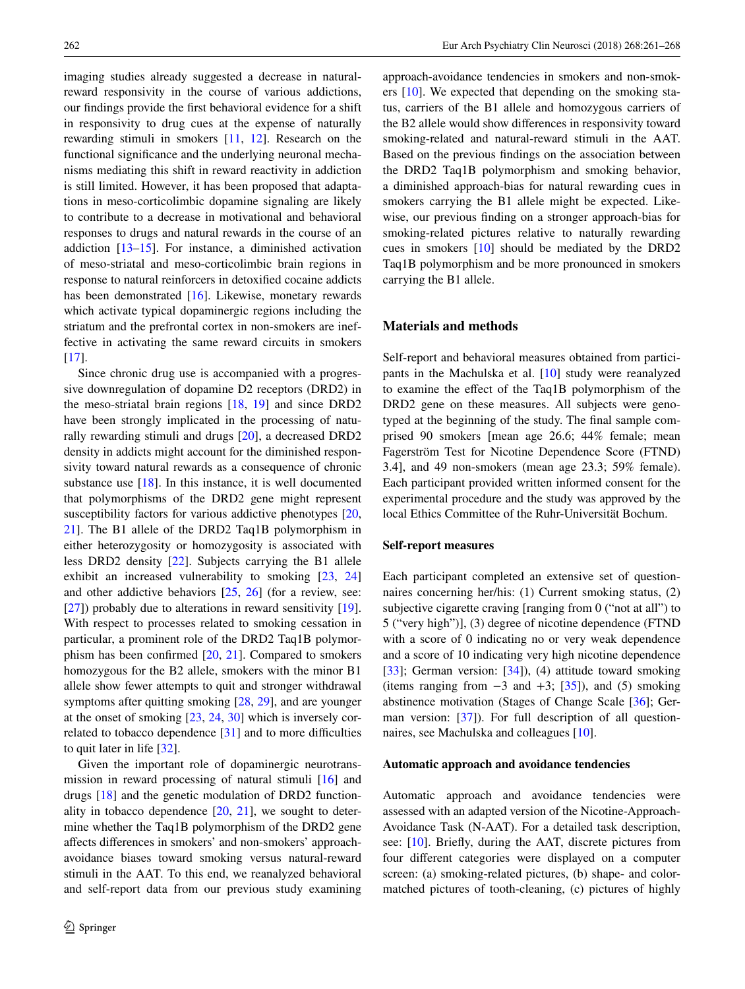imaging studies already suggested a decrease in naturalreward responsivity in the course of various addictions, our findings provide the first behavioral evidence for a shift in responsivity to drug cues at the expense of naturally rewarding stimuli in smokers [[11,](#page-6-10) [12](#page-6-11)]. Research on the functional significance and the underlying neuronal mechanisms mediating this shift in reward reactivity in addiction is still limited. However, it has been proposed that adaptations in meso-corticolimbic dopamine signaling are likely to contribute to a decrease in motivational and behavioral responses to drugs and natural rewards in the course of an addiction  $[13-15]$  $[13-15]$ . For instance, a diminished activation of meso-striatal and meso-corticolimbic brain regions in response to natural reinforcers in detoxified cocaine addicts has been demonstrated [[16\]](#page-6-14). Likewise, monetary rewards which activate typical dopaminergic regions including the striatum and the prefrontal cortex in non-smokers are ineffective in activating the same reward circuits in smokers [\[17](#page-6-15)].

Since chronic drug use is accompanied with a progressive downregulation of dopamine D2 receptors (DRD2) in the meso-striatal brain regions [\[18](#page-6-16), [19](#page-6-17)] and since DRD2 have been strongly implicated in the processing of naturally rewarding stimuli and drugs [[20\]](#page-6-18), a decreased DRD2 density in addicts might account for the diminished responsivity toward natural rewards as a consequence of chronic substance use [\[18](#page-6-16)]. In this instance, it is well documented that polymorphisms of the DRD2 gene might represent susceptibility factors for various addictive phenotypes [[20,](#page-6-18) [21](#page-6-19)]. The B1 allele of the DRD2 Taq1B polymorphism in either heterozygosity or homozygosity is associated with less DRD2 density [[22\]](#page-6-20). Subjects carrying the B1 allele exhibit an increased vulnerability to smoking [\[23](#page-6-21), [24\]](#page-6-22) and other addictive behaviors [\[25](#page-6-23), [26\]](#page-6-24) (for a review, see: [\[27](#page-7-0)]) probably due to alterations in reward sensitivity [\[19](#page-6-17)]. With respect to processes related to smoking cessation in particular, a prominent role of the DRD2 Taq1B polymorphism has been confirmed [\[20](#page-6-18), [21\]](#page-6-19). Compared to smokers homozygous for the B2 allele, smokers with the minor B1 allele show fewer attempts to quit and stronger withdrawal symptoms after quitting smoking [[28,](#page-7-1) [29\]](#page-7-2), and are younger at the onset of smoking [[23,](#page-6-21) [24,](#page-6-22) [30](#page-7-3)] which is inversely correlated to tobacco dependence [\[31](#page-7-4)] and to more difficulties to quit later in life [[32\]](#page-7-5).

Given the important role of dopaminergic neurotransmission in reward processing of natural stimuli [\[16](#page-6-14)] and drugs [\[18](#page-6-16)] and the genetic modulation of DRD2 functionality in tobacco dependence  $[20, 21]$  $[20, 21]$  $[20, 21]$  $[20, 21]$ , we sought to determine whether the Taq1B polymorphism of the DRD2 gene affects differences in smokers' and non-smokers' approachavoidance biases toward smoking versus natural-reward stimuli in the AAT. To this end, we reanalyzed behavioral and self-report data from our previous study examining approach-avoidance tendencies in smokers and non-smokers [[10\]](#page-6-9). We expected that depending on the smoking status, carriers of the B1 allele and homozygous carriers of the B2 allele would show differences in responsivity toward smoking-related and natural-reward stimuli in the AAT. Based on the previous findings on the association between the DRD2 Taq1B polymorphism and smoking behavior, a diminished approach-bias for natural rewarding cues in smokers carrying the B1 allele might be expected. Likewise, our previous finding on a stronger approach-bias for smoking-related pictures relative to naturally rewarding cues in smokers [\[10](#page-6-9)] should be mediated by the DRD2 Taq1B polymorphism and be more pronounced in smokers carrying the B1 allele.

# **Materials and methods**

Self-report and behavioral measures obtained from participants in the Machulska et al. [\[10](#page-6-9)] study were reanalyzed to examine the effect of the Taq1B polymorphism of the DRD2 gene on these measures. All subjects were genotyped at the beginning of the study. The final sample comprised 90 smokers [mean age 26.6; 44% female; mean Fagerström Test for Nicotine Dependence Score (FTND) 3.4], and 49 non-smokers (mean age 23.3; 59% female). Each participant provided written informed consent for the experimental procedure and the study was approved by the local Ethics Committee of the Ruhr-Universität Bochum.

#### **Self-report measures**

Each participant completed an extensive set of questionnaires concerning her/his: (1) Current smoking status, (2) subjective cigarette craving [ranging from 0 ("not at all") to 5 ("very high")], (3) degree of nicotine dependence (FTND with a score of 0 indicating no or very weak dependence and a score of 10 indicating very high nicotine dependence [\[33](#page-7-6)]; German version: [\[34](#page-7-7)]), (4) attitude toward smoking (items ranging from  $-3$  and  $+3$ ; [\[35](#page-7-8)]), and (5) smoking abstinence motivation (Stages of Change Scale [\[36](#page-7-9)]; German version: [\[37](#page-7-10)]). For full description of all questionnaires, see Machulska and colleagues [\[10](#page-6-9)].

### **Automatic approach and avoidance tendencies**

Automatic approach and avoidance tendencies were assessed with an adapted version of the Nicotine-Approach-Avoidance Task (N-AAT). For a detailed task description, see: [[10\]](#page-6-9). Briefly, during the AAT, discrete pictures from four different categories were displayed on a computer screen: (a) smoking-related pictures, (b) shape- and colormatched pictures of tooth-cleaning, (c) pictures of highly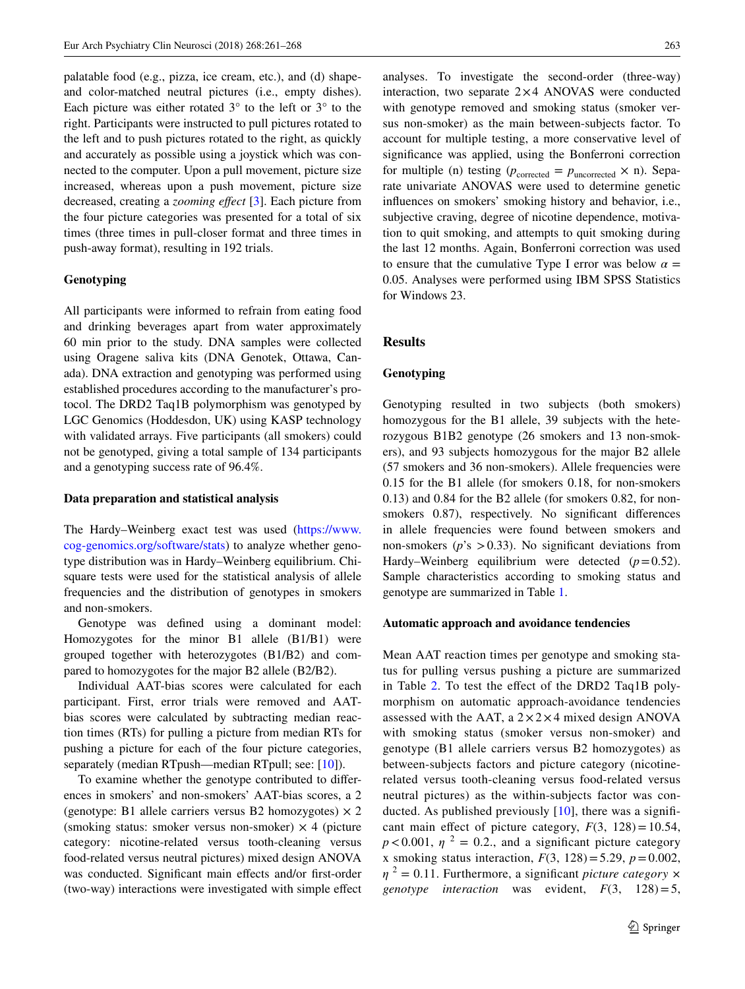palatable food (e.g., pizza, ice cream, etc.), and (d) shapeand color-matched neutral pictures (i.e., empty dishes). Each picture was either rotated  $3^\circ$  to the left or  $3^\circ$  to the right. Participants were instructed to pull pictures rotated to the left and to push pictures rotated to the right, as quickly and accurately as possible using a joystick which was connected to the computer. Upon a pull movement, picture size increased, whereas upon a push movement, picture size decreased, creating a *zooming effect* [[3\]](#page-6-2). Each picture from the four picture categories was presented for a total of six times (three times in pull-closer format and three times in push-away format), resulting in 192 trials.

# **Genotyping**

All participants were informed to refrain from eating food and drinking beverages apart from water approximately 60 min prior to the study. DNA samples were collected using Oragene saliva kits (DNA Genotek, Ottawa, Canada). DNA extraction and genotyping was performed using established procedures according to the manufacturer's protocol. The DRD2 Taq1B polymorphism was genotyped by LGC Genomics (Hoddesdon, UK) using KASP technology with validated arrays. Five participants (all smokers) could not be genotyped, giving a total sample of 134 participants and a genotyping success rate of 96.4%.

# **Data preparation and statistical analysis**

The Hardy–Weinberg exact test was used ([https://www.](https://www.cog-genomics.org/software/stats) [cog-genomics.org/software/stats](https://www.cog-genomics.org/software/stats)) to analyze whether genotype distribution was in Hardy–Weinberg equilibrium. Chisquare tests were used for the statistical analysis of allele frequencies and the distribution of genotypes in smokers and non-smokers.

Genotype was defined using a dominant model: Homozygotes for the minor B1 allele (B1/B1) were grouped together with heterozygotes (B1/B2) and compared to homozygotes for the major B2 allele (B2/B2).

Individual AAT-bias scores were calculated for each participant. First, error trials were removed and AATbias scores were calculated by subtracting median reaction times (RTs) for pulling a picture from median RTs for pushing a picture for each of the four picture categories, separately (median RTpush—median RTpull; see: [\[10](#page-6-9)]).

To examine whether the genotype contributed to differences in smokers' and non-smokers' AAT-bias scores, a 2 (genotype: B1 allele carriers versus B2 homozygotes)  $\times$  2 (smoking status: smoker versus non-smoker)  $\times$  4 (picture category: nicotine-related versus tooth-cleaning versus food-related versus neutral pictures) mixed design ANOVA was conducted. Significant main effects and/or first-order (two-way) interactions were investigated with simple effect analyses. To investigate the second-order (three-way) interaction, two separate  $2\times4$  ANOVAS were conducted with genotype removed and smoking status (smoker versus non-smoker) as the main between-subjects factor. To account for multiple testing, a more conservative level of significance was applied, using the Bonferroni correction for multiple (n) testing ( $p_{\text{corrected}} = p_{\text{uncorrected}} \times n$ ). Separate univariate ANOVAS were used to determine genetic influences on smokers' smoking history and behavior, i.e., subjective craving, degree of nicotine dependence, motivation to quit smoking, and attempts to quit smoking during the last 12 months. Again, Bonferroni correction was used to ensure that the cumulative Type I error was below  $\alpha =$ 0.05. Analyses were performed using IBM SPSS Statistics for Windows 23.

# **Results**

# **Genotyping**

Genotyping resulted in two subjects (both smokers) homozygous for the B1 allele, 39 subjects with the heterozygous B1B2 genotype (26 smokers and 13 non-smokers), and 93 subjects homozygous for the major B2 allele (57 smokers and 36 non-smokers). Allele frequencies were 0.15 for the B1 allele (for smokers 0.18, for non-smokers 0.13) and 0.84 for the B2 allele (for smokers 0.82, for nonsmokers 0.87), respectively. No significant differences in allele frequencies were found between smokers and non-smokers ( $p$ 's  $>$  0.33). No significant deviations from Hardy–Weinberg equilibrium were detected  $(p=0.52)$ . Sample characteristics according to smoking status and genotype are summarized in Table [1.](#page-3-0)

#### **Automatic approach and avoidance tendencies**

Mean AAT reaction times per genotype and smoking status for pulling versus pushing a picture are summarized in Table [2.](#page-3-1) To test the effect of the DRD2 Taq1B polymorphism on automatic approach-avoidance tendencies assessed with the AAT, a  $2 \times 2 \times 4$  mixed design ANOVA with smoking status (smoker versus non-smoker) and genotype (B1 allele carriers versus B2 homozygotes) as between-subjects factors and picture category (nicotinerelated versus tooth-cleaning versus food-related versus neutral pictures) as the within-subjects factor was conducted. As published previously [[10](#page-6-9)], there was a significant main effect of picture category,  $F(3, 128) = 10.54$ ,  $p < 0.001$ ,  $\eta^2 = 0.2$ ., and a significant picture category x smoking status interaction,  $F(3, 128) = 5.29$ ,  $p = 0.002$ , *η* <sup>2</sup> = 0.11. Furthermore, a significant *picture category × genotype interaction* was evident,  $F(3, 128)=5$ ,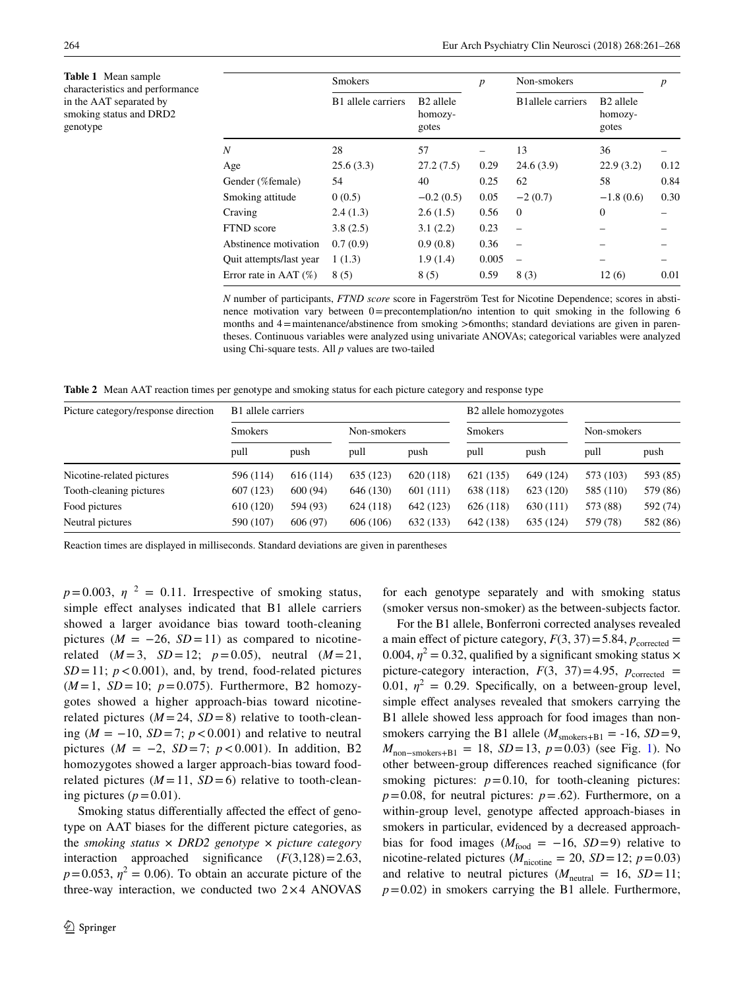<span id="page-3-0"></span>**Table 1** Mean sample characteristics and performance in the AAT separated by smoking status and DRD2 genotype

|                          | <b>Smokers</b>     |                                           | $\boldsymbol{p}$ | Non-smokers              | $\boldsymbol{p}$                          |      |  |
|--------------------------|--------------------|-------------------------------------------|------------------|--------------------------|-------------------------------------------|------|--|
|                          | B1 allele carriers | B <sub>2</sub> allele<br>homozy-<br>gotes |                  | <b>B1allele</b> carriers | B <sub>2</sub> allele<br>homozy-<br>gotes |      |  |
| Ν                        | 28                 | 57                                        |                  | 13                       | 36                                        |      |  |
| Age                      | 25.6(3.3)          | 27.2(7.5)                                 | 0.29             | 24.6(3.9)                | 22.9(3.2)                                 | 0.12 |  |
| Gender (%female)         | 54                 | 40                                        | 0.25             | 62                       | 58                                        | 0.84 |  |
| Smoking attitude         | 0(0.5)             | $-0.2(0.5)$                               | 0.05             | $-2(0.7)$                | $-1.8(0.6)$                               | 0.30 |  |
| Craving                  | 2.4(1.3)           | 2.6(1.5)                                  | 0.56             | $\mathbf{0}$             | $\mathbf{0}$                              |      |  |
| FTND score               | 3.8(2.5)           | 3.1(2.2)                                  | 0.23             |                          |                                           |      |  |
| Abstinence motivation    | 0.7(0.9)           | 0.9(0.8)                                  | 0.36             |                          |                                           |      |  |
| Quit attempts/last year  | 1(1.3)             | 1.9(1.4)                                  | 0.005            |                          |                                           |      |  |
| Error rate in AAT $(\%)$ | 8(5)               | 8(5)                                      | 0.59             | 8(3)                     | 12(6)                                     | 0.01 |  |

*N* number of participants, *FTND score* score in Fagerström Test for Nicotine Dependence; scores in abstinence motivation vary between  $0 =$  precontemplation/no intention to quit smoking in the following 6 months and 4=maintenance/abstinence from smoking >6months; standard deviations are given in parentheses. Continuous variables were analyzed using univariate ANOVAs; categorical variables were analyzed using Chi-square tests. All *p* values are two-tailed

<span id="page-3-1"></span>**Table 2** Mean AAT reaction times per genotype and smoking status for each picture category and response type

| Picture category/response direction | B <sub>1</sub> allele carriers |          |             |           | B <sub>2</sub> allele homozygotes |           |             |          |
|-------------------------------------|--------------------------------|----------|-------------|-----------|-----------------------------------|-----------|-------------|----------|
|                                     | <b>Smokers</b>                 |          | Non-smokers |           | <b>Smokers</b>                    |           | Non-smokers |          |
|                                     | pull                           | push     | pull        | push      | pull                              | push      | pull        | push     |
| Nicotine-related pictures           | 596 (114)                      | 616(114) | 635 (123)   | 620 (118) | 621 (135)                         | 649 (124) | 573 (103)   | 593 (85) |
| Tooth-cleaning pictures             | 607 (123)                      | 600(94)  | 646 (130)   | 601(111)  | 638 (118)                         | 623 (120) | 585 (110)   | 579 (86) |
| Food pictures                       | 610 (120)                      | 594 (93) | 624 (118)   | 642 (123) | 626 (118)                         | 630(111)  | 573 (88)    | 592 (74) |
| Neutral pictures                    | 590 (107)                      | 606(97)  | 606 (106)   | 632 (133) | 642 (138)                         | 635 (124) | 579 (78)    | 582 (86) |

Reaction times are displayed in milliseconds. Standard deviations are given in parentheses

 $p=0.003$ ,  $\eta^2 = 0.11$ . Irrespective of smoking status, simple effect analyses indicated that B1 allele carriers showed a larger avoidance bias toward tooth-cleaning pictures ( $M = -26$ ,  $SD = 11$ ) as compared to nicotinerelated  $(M=3, SD=12; p=0.05)$ , neutral  $(M=21,$  $SD = 11$ ;  $p < 0.001$ ), and, by trend, food-related pictures  $(M=1, SD=10; p=0.075)$ . Furthermore, B2 homozygotes showed a higher approach-bias toward nicotinerelated pictures  $(M = 24, SD = 8)$  relative to tooth-cleaning (*M* = −10, *SD* =7; *p*<0.001) and relative to neutral pictures ( $M = -2$ ,  $SD = 7$ ;  $p < 0.001$ ). In addition, B2 homozygotes showed a larger approach-bias toward foodrelated pictures  $(M=11, SD=6)$  relative to tooth-cleaning pictures  $(p=0.01)$ .

Smoking status differentially affected the effect of genotype on AAT biases for the different picture categories, as the *smoking status × DRD2 genotype × picture category* interaction approached significance  $(F(3,128)=2.63)$ ,  $p=0.053$ ,  $\eta^2=0.06$ ). To obtain an accurate picture of the three-way interaction, we conducted two  $2 \times 4$  ANOVAS

for each genotype separately and with smoking status (smoker versus non-smoker) as the between-subjects factor.

For the B1 allele, Bonferroni corrected analyses revealed a main effect of picture category,  $F(3, 37) = 5.84$ ,  $p_{\text{corrected}} =$ 0.004,  $\eta^2 = 0.32$ , qualified by a significant smoking status  $\times$ picture-category interaction,  $F(3, 37) = 4.95$ ,  $p_{\text{corrected}} =$ 0.01,  $\eta^2 = 0.29$ . Specifically, on a between-group level, simple effect analyses revealed that smokers carrying the B1 allele showed less approach for food images than nonsmokers carrying the B1 allele ( $M_{\text{smokes+B1}} = -16$ ,  $SD = 9$ , *M*<sub>non−smokers+B1</sub> = 18, *SD* = 13, *p* = 0.03) (see Fig. [1\)](#page-4-0). No other between-group differences reached significance (for smoking pictures:  $p=0.10$ , for tooth-cleaning pictures:  $p=0.08$ , for neutral pictures:  $p=.62$ ). Furthermore, on a within-group level, genotype affected approach-biases in smokers in particular, evidenced by a decreased approachbias for food images ( $M_{\text{food}} = -16$ , *SD*=9) relative to nicotine-related pictures ( $M_{\text{nicotine}} = 20$ ,  $SD = 12$ ;  $p = 0.03$ ) and relative to neutral pictures ( $M_{\text{neutral}} = 16$ ,  $SD = 11$ ;  $p=0.02$ ) in smokers carrying the B1 allele. Furthermore,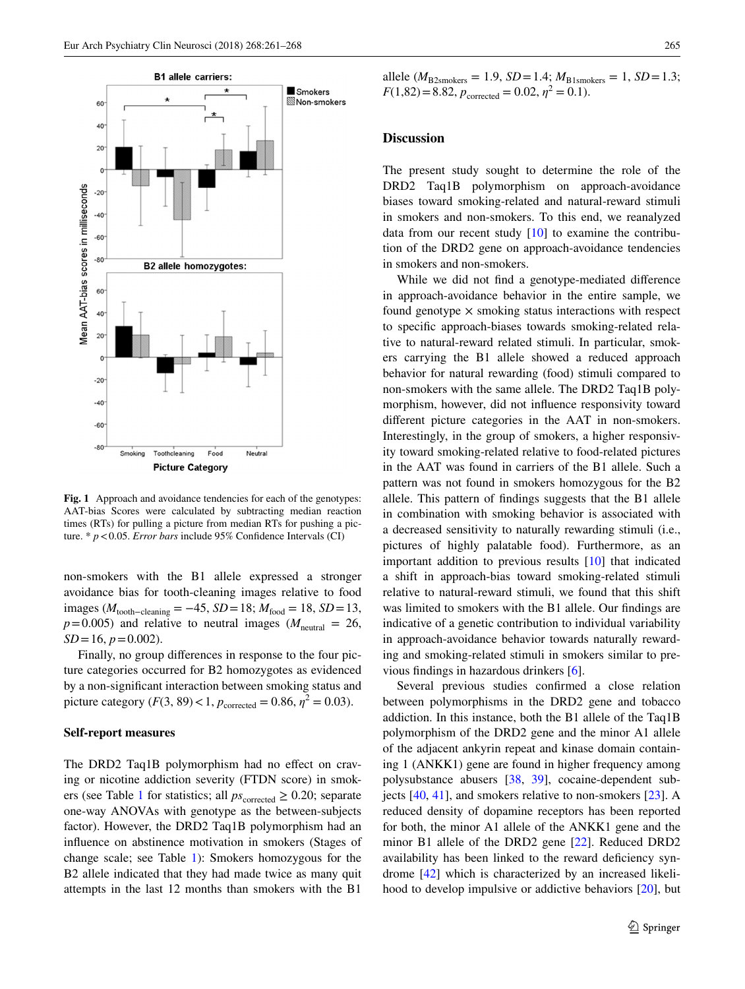

<span id="page-4-0"></span>**Fig. 1** Approach and avoidance tendencies for each of the genotypes: AAT-bias Scores were calculated by subtracting median reaction times (RTs) for pulling a picture from median RTs for pushing a picture. \* *p*<0.05. *Error bars* include 95% Confidence Intervals (CI)

non-smokers with the B1 allele expressed a stronger avoidance bias for tooth-cleaning images relative to food images ( $M_{\text{tooth–cleaning}}$  = −45, *SD* = 18;  $M_{\text{food}}$  = 18, *SD* = 13,  $p=0.005$ ) and relative to neutral images ( $M_{\text{neutral}} = 26$ ,  $SD = 16$ ,  $p = 0.002$ ).

Finally, no group differences in response to the four picture categories occurred for B2 homozygotes as evidenced by a non-significant interaction between smoking status and picture category  $(F(3, 89) < 1, p_{\text{corrected}} = 0.86, \eta^2 = 0.03)$ .

#### **Self-report measures**

The DRD2 Taq1B polymorphism had no effect on craving or nicotine addiction severity (FTDN score) in smok-ers (see Table [1](#page-3-0) for statistics; all  $ps_{\text{corrected}} \geq 0.20$ ; separate one-way ANOVAs with genotype as the between-subjects factor). However, the DRD2 Taq1B polymorphism had an influence on abstinence motivation in smokers (Stages of change scale; see Table [1\)](#page-3-0): Smokers homozygous for the B2 allele indicated that they had made twice as many quit attempts in the last 12 months than smokers with the B1

allele ( $M_{\text{B2smokes}} = 1.9$ ,  $SD = 1.4$ ;  $M_{\text{B1smokes}} = 1$ ,  $SD = 1.3$ ;  $F(1,82) = 8.82, p_{\text{corrected}} = 0.02, \eta^2 = 0.1$ .

# **Discussion**

The present study sought to determine the role of the DRD2 Taq1B polymorphism on approach-avoidance biases toward smoking-related and natural-reward stimuli in smokers and non-smokers. To this end, we reanalyzed data from our recent study  $[10]$  $[10]$  to examine the contribution of the DRD2 gene on approach-avoidance tendencies in smokers and non-smokers.

While we did not find a genotype-mediated difference in approach-avoidance behavior in the entire sample, we found genotype  $\times$  smoking status interactions with respect to specific approach-biases towards smoking-related relative to natural-reward related stimuli. In particular, smokers carrying the B1 allele showed a reduced approach behavior for natural rewarding (food) stimuli compared to non-smokers with the same allele. The DRD2 Taq1B polymorphism, however, did not influence responsivity toward different picture categories in the AAT in non-smokers. Interestingly, in the group of smokers, a higher responsivity toward smoking-related relative to food-related pictures in the AAT was found in carriers of the B1 allele. Such a pattern was not found in smokers homozygous for the B2 allele. This pattern of findings suggests that the B1 allele in combination with smoking behavior is associated with a decreased sensitivity to naturally rewarding stimuli (i.e., pictures of highly palatable food). Furthermore, as an important addition to previous results [[10\]](#page-6-9) that indicated a shift in approach-bias toward smoking-related stimuli relative to natural-reward stimuli, we found that this shift was limited to smokers with the B1 allele. Our findings are indicative of a genetic contribution to individual variability in approach-avoidance behavior towards naturally rewarding and smoking-related stimuli in smokers similar to previous findings in hazardous drinkers [\[6](#page-6-5)].

Several previous studies confirmed a close relation between polymorphisms in the DRD2 gene and tobacco addiction. In this instance, both the B1 allele of the Taq1B polymorphism of the DRD2 gene and the minor A1 allele of the adjacent ankyrin repeat and kinase domain containing 1 (ANKK1) gene are found in higher frequency among polysubstance abusers [[38,](#page-7-11) [39](#page-7-12)], cocaine-dependent subjects [[40,](#page-7-13) [41\]](#page-7-14), and smokers relative to non-smokers [\[23](#page-6-21)]. A reduced density of dopamine receptors has been reported for both, the minor A1 allele of the ANKK1 gene and the minor B1 allele of the DRD2 gene [[22\]](#page-6-20). Reduced DRD2 availability has been linked to the reward deficiency syndrome [[42\]](#page-7-15) which is characterized by an increased likelihood to develop impulsive or addictive behaviors [[20\]](#page-6-18), but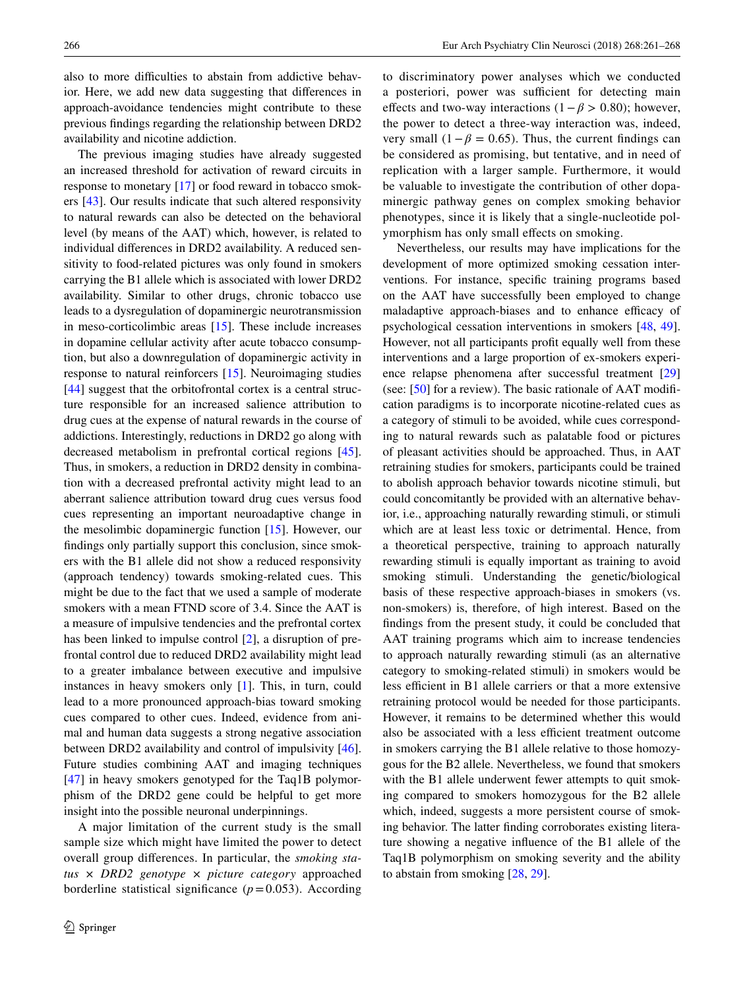also to more difficulties to abstain from addictive behavior. Here, we add new data suggesting that differences in approach-avoidance tendencies might contribute to these previous findings regarding the relationship between DRD2 availability and nicotine addiction.

The previous imaging studies have already suggested an increased threshold for activation of reward circuits in response to monetary [[17\]](#page-6-15) or food reward in tobacco smokers [\[43](#page-7-16)]. Our results indicate that such altered responsivity to natural rewards can also be detected on the behavioral level (by means of the AAT) which, however, is related to individual differences in DRD2 availability. A reduced sensitivity to food-related pictures was only found in smokers carrying the B1 allele which is associated with lower DRD2 availability. Similar to other drugs, chronic tobacco use leads to a dysregulation of dopaminergic neurotransmission in meso-corticolimbic areas [[15\]](#page-6-13). These include increases in dopamine cellular activity after acute tobacco consumption, but also a downregulation of dopaminergic activity in response to natural reinforcers [\[15](#page-6-13)]. Neuroimaging studies [\[44](#page-7-17)] suggest that the orbitofrontal cortex is a central structure responsible for an increased salience attribution to drug cues at the expense of natural rewards in the course of addictions. Interestingly, reductions in DRD2 go along with decreased metabolism in prefrontal cortical regions [\[45](#page-7-18)]. Thus, in smokers, a reduction in DRD2 density in combination with a decreased prefrontal activity might lead to an aberrant salience attribution toward drug cues versus food cues representing an important neuroadaptive change in the mesolimbic dopaminergic function [\[15](#page-6-13)]. However, our findings only partially support this conclusion, since smokers with the B1 allele did not show a reduced responsivity (approach tendency) towards smoking-related cues. This might be due to the fact that we used a sample of moderate smokers with a mean FTND score of 3.4. Since the AAT is a measure of impulsive tendencies and the prefrontal cortex has been linked to impulse control [[2\]](#page-6-1), a disruption of prefrontal control due to reduced DRD2 availability might lead to a greater imbalance between executive and impulsive instances in heavy smokers only [\[1](#page-6-0)]. This, in turn, could lead to a more pronounced approach-bias toward smoking cues compared to other cues. Indeed, evidence from animal and human data suggests a strong negative association between DRD2 availability and control of impulsivity [\[46](#page-7-19)]. Future studies combining AAT and imaging techniques [\[47](#page-7-20)] in heavy smokers genotyped for the Taq1B polymorphism of the DRD2 gene could be helpful to get more insight into the possible neuronal underpinnings.

A major limitation of the current study is the small sample size which might have limited the power to detect overall group differences. In particular, the *smoking status × DRD2 genotype × picture category* approached borderline statistical significance  $(p=0.053)$ . According

to discriminatory power analyses which we conducted a posteriori, power was sufficient for detecting main effects and two-way interactions (1−*β* > 0.80); however, the power to detect a three-way interaction was, indeed, very small  $(1 – \beta = 0.65)$ . Thus, the current findings can be considered as promising, but tentative, and in need of replication with a larger sample. Furthermore, it would be valuable to investigate the contribution of other dopaminergic pathway genes on complex smoking behavior phenotypes, since it is likely that a single-nucleotide polymorphism has only small effects on smoking.

Nevertheless, our results may have implications for the development of more optimized smoking cessation interventions. For instance, specific training programs based on the AAT have successfully been employed to change maladaptive approach-biases and to enhance efficacy of psychological cessation interventions in smokers [\[48](#page-7-21), [49](#page-7-22)]. However, not all participants profit equally well from these interventions and a large proportion of ex-smokers experience relapse phenomena after successful treatment [[29\]](#page-7-2) (see: [[50\]](#page-7-23) for a review). The basic rationale of AAT modification paradigms is to incorporate nicotine-related cues as a category of stimuli to be avoided, while cues corresponding to natural rewards such as palatable food or pictures of pleasant activities should be approached. Thus, in AAT retraining studies for smokers, participants could be trained to abolish approach behavior towards nicotine stimuli, but could concomitantly be provided with an alternative behavior, i.e., approaching naturally rewarding stimuli, or stimuli which are at least less toxic or detrimental. Hence, from a theoretical perspective, training to approach naturally rewarding stimuli is equally important as training to avoid smoking stimuli. Understanding the genetic/biological basis of these respective approach-biases in smokers (vs. non-smokers) is, therefore, of high interest. Based on the findings from the present study, it could be concluded that AAT training programs which aim to increase tendencies to approach naturally rewarding stimuli (as an alternative category to smoking-related stimuli) in smokers would be less efficient in B1 allele carriers or that a more extensive retraining protocol would be needed for those participants. However, it remains to be determined whether this would also be associated with a less efficient treatment outcome in smokers carrying the B1 allele relative to those homozygous for the B2 allele. Nevertheless, we found that smokers with the B1 allele underwent fewer attempts to quit smoking compared to smokers homozygous for the B2 allele which, indeed, suggests a more persistent course of smoking behavior. The latter finding corroborates existing literature showing a negative influence of the B1 allele of the Taq1B polymorphism on smoking severity and the ability to abstain from smoking [\[28](#page-7-1), [29](#page-7-2)].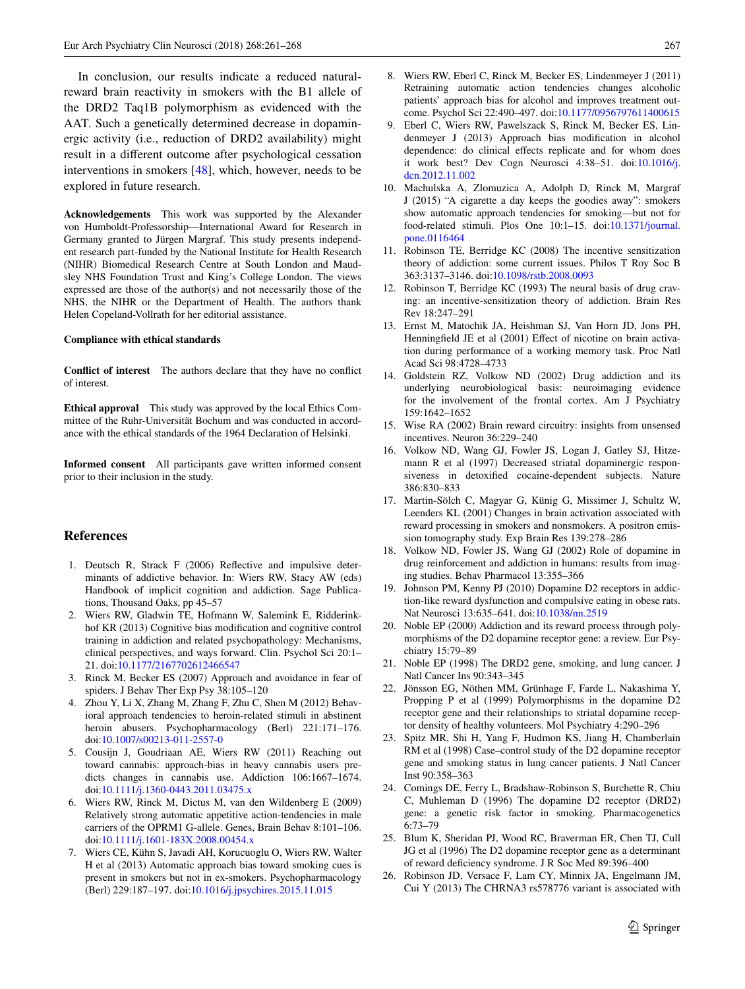In conclusion, our results indicate a reduced naturalreward brain reactivity in smokers with the B1 allele of the DRD2 Taq1B polymorphism as evidenced with the AAT. Such a genetically determined decrease in dopaminergic activity (i.e., reduction of DRD2 availability) might result in a different outcome after psychological cessation interventions in smokers [\[48](#page-7-21)], which, however, needs to be explored in future research.

**Acknowledgements** This work was supported by the Alexander von Humboldt-Professorship—International Award for Research in Germany granted to Jürgen Margraf. This study presents independent research part-funded by the National Institute for Health Research (NIHR) Biomedical Research Centre at South London and Maudsley NHS Foundation Trust and King's College London. The views expressed are those of the author(s) and not necessarily those of the NHS, the NIHR or the Department of Health. The authors thank Helen Copeland-Vollrath for her editorial assistance.

#### **Compliance with ethical standards**

**Conflict of interest** The authors declare that they have no conflict of interest.

**Ethical approval** This study was approved by the local Ethics Committee of the Ruhr-Universität Bochum and was conducted in accordance with the ethical standards of the 1964 Declaration of Helsinki.

**Informed consent** All participants gave written informed consent prior to their inclusion in the study.

# **References**

- <span id="page-6-0"></span>1. Deutsch R, Strack F (2006) Reflective and impulsive determinants of addictive behavior. In: Wiers RW, Stacy AW (eds) Handbook of implicit cognition and addiction. Sage Publications, Thousand Oaks, pp 45–57
- <span id="page-6-1"></span>2. Wiers RW, Gladwin TE, Hofmann W, Salemink E, Ridderinkhof KR (2013) Cognitive bias modification and cognitive control training in addiction and related psychopathology: Mechanisms, clinical perspectives, and ways forward. Clin. Psychol Sci 20:1– 21. doi[:10.1177/2167702612466547](https://doi.org/10.1177/2167702612466547)
- <span id="page-6-2"></span>3. Rinck M, Becker ES (2007) Approach and avoidance in fear of spiders. J Behav Ther Exp Psy 38:105–120
- <span id="page-6-3"></span>4. Zhou Y, Li X, Zhang M, Zhang F, Zhu C, Shen M (2012) Behavioral approach tendencies to heroin-related stimuli in abstinent heroin abusers. Psychopharmacology (Berl) 221:171-176. doi[:10.1007/s00213-011-2557-0](https://doi.org/10.1007/s00213-011-2557-0)
- <span id="page-6-4"></span>5. Cousijn J, Goudriaan AE, Wiers RW (2011) Reaching out toward cannabis: approach-bias in heavy cannabis users predicts changes in cannabis use. Addiction 106:1667–1674. doi[:10.1111/j.1360-0443.2011.03475.x](https://doi.org/10.1111/j.1360-0443.2011.03475.x)
- <span id="page-6-5"></span>6. Wiers RW, Rinck M, Dictus M, van den Wildenberg E (2009) Relatively strong automatic appetitive action-tendencies in male carriers of the OPRM1 G-allele. Genes, Brain Behav 8:101–106. doi[:10.1111/j.1601-183X.2008.00454.x](https://doi.org/10.1111/j.1601-183X.2008.00454.x)
- <span id="page-6-6"></span>7. Wiers CE, Kühn S, Javadi AH, Korucuoglu O, Wiers RW, Walter H et al (2013) Automatic approach bias toward smoking cues is present in smokers but not in ex-smokers. Psychopharmacology (Berl) 229:187–197. doi:[10.1016/j.jpsychires.2015.11.015](https://doi.org/10.1016/j.jpsychires.2015.11.015)
- <span id="page-6-7"></span>8. Wiers RW, Eberl C, Rinck M, Becker ES, Lindenmeyer J (2011) Retraining automatic action tendencies changes alcoholic patients' approach bias for alcohol and improves treatment outcome. Psychol Sci 22:490–497. doi:[10.1177/0956797611400615](https://doi.org/10.1177/0956797611400615)
- <span id="page-6-8"></span>9. Eberl C, Wiers RW, Pawelszack S, Rinck M, Becker ES, Lindenmeyer J (2013) Approach bias modification in alcohol dependence: do clinical effects replicate and for whom does it work best? Dev Cogn Neurosci 4:38–51. doi:[10.1016/j.](https://doi.org/10.1016/j.dcn.2012.11.002) [dcn.2012.11.002](https://doi.org/10.1016/j.dcn.2012.11.002)
- <span id="page-6-9"></span>10. Machulska A, Zlomuzica A, Adolph D, Rinck M, Margraf J (2015) "A cigarette a day keeps the goodies away": smokers show automatic approach tendencies for smoking—but not for food-related stimuli. Plos One 10:1–15. doi:[10.1371/journal.](https://doi.org/10.1371/journal.pone.0116464) [pone.0116464](https://doi.org/10.1371/journal.pone.0116464)
- <span id="page-6-10"></span>11. Robinson TE, Berridge KC (2008) The incentive sensitization theory of addiction: some current issues. Philos T Roy Soc B 363:3137–3146. doi:[10.1098/rstb.2008.0093](https://doi.org/10.1098/rstb.2008.0093)
- <span id="page-6-11"></span>12. Robinson T, Berridge KC (1993) The neural basis of drug craving: an incentive-sensitization theory of addiction. Brain Res Rev 18:247–291
- <span id="page-6-12"></span>13. Ernst M, Matochik JA, Heishman SJ, Van Horn JD, Jons PH, Henningfield JE et al (2001) Effect of nicotine on brain activation during performance of a working memory task. Proc Natl Acad Sci 98:4728–4733
- 14. Goldstein RZ, Volkow ND (2002) Drug addiction and its underlying neurobiological basis: neuroimaging evidence for the involvement of the frontal cortex. Am J Psychiatry 159:1642–1652
- <span id="page-6-13"></span>15. Wise RA (2002) Brain reward circuitry: insights from unsensed incentives. Neuron 36:229–240
- <span id="page-6-14"></span>16. Volkow ND, Wang GJ, Fowler JS, Logan J, Gatley SJ, Hitzemann R et al (1997) Decreased striatal dopaminergic responsiveness in detoxified cocaine-dependent subjects. Nature 386:830–833
- <span id="page-6-15"></span>17. Martin-Sölch C, Magyar G, Künig G, Missimer J, Schultz W, Leenders KL (2001) Changes in brain activation associated with reward processing in smokers and nonsmokers. A positron emission tomography study. Exp Brain Res 139:278–286
- <span id="page-6-16"></span>18. Volkow ND, Fowler JS, Wang GJ (2002) Role of dopamine in drug reinforcement and addiction in humans: results from imaging studies. Behav Pharmacol 13:355–366
- <span id="page-6-17"></span>19. Johnson PM, Kenny PJ (2010) Dopamine D2 receptors in addiction-like reward dysfunction and compulsive eating in obese rats. Nat Neurosci 13:635–641. doi[:10.1038/nn.2519](https://doi.org/10.1038/nn.2519)
- <span id="page-6-18"></span>20. Noble EP (2000) Addiction and its reward process through polymorphisms of the D2 dopamine receptor gene: a review. Eur Psychiatry 15:79–89
- <span id="page-6-19"></span>21. Noble EP (1998) The DRD2 gene, smoking, and lung cancer. J Natl Cancer Ins 90:343–345
- <span id="page-6-20"></span>22. Jönsson EG, Nöthen MM, Grünhage F, Farde L, Nakashima Y, Propping P et al (1999) Polymorphisms in the dopamine D2 receptor gene and their relationships to striatal dopamine receptor density of healthy volunteers. Mol Psychiatry 4:290–296
- <span id="page-6-21"></span>23. Spitz MR, Shi H, Yang F, Hudmon KS, Jiang H, Chamberlain RM et al (1998) Case–control study of the D2 dopamine receptor gene and smoking status in lung cancer patients. J Natl Cancer Inst 90:358–363
- <span id="page-6-22"></span>24. Comings DE, Ferry L, Bradshaw-Robinson S, Burchette R, Chiu C, Muhleman D (1996) The dopamine D2 receptor (DRD2) gene: a genetic risk factor in smoking. Pharmacogenetics 6:73–79
- <span id="page-6-23"></span>25. Blum K, Sheridan PJ, Wood RC, Braverman ER, Chen TJ, Cull JG et al (1996) The D2 dopamine receptor gene as a determinant of reward deficiency syndrome. J R Soc Med 89:396–400
- <span id="page-6-24"></span>26. Robinson JD, Versace F, Lam CY, Minnix JA, Engelmann JM, Cui Y (2013) The CHRNA3 rs578776 variant is associated with